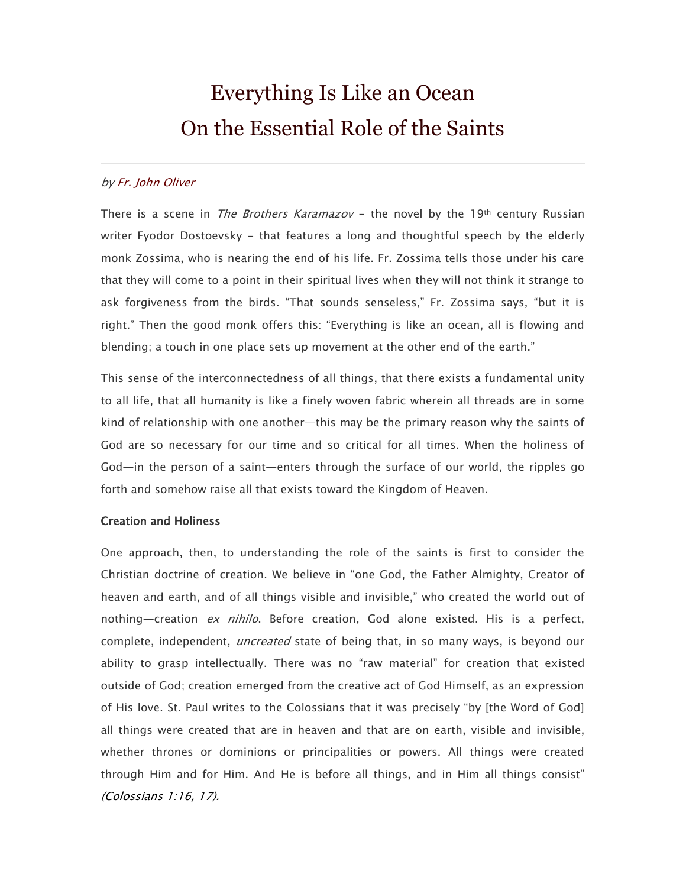# Everything Is Like an Ocean On the Essential Role of the Saints

# b[y Fr. John Oliver](http://www.antiochian.org/author/oliver)

There is a scene in *The Brothers Karamazov* – the novel by the 19th century Russian writer Fyodor Dostoevsky - that features a long and thoughtful speech by the elderly monk Zossima, who is nearing the end of his life. Fr. Zossima tells those under his care that they will come to a point in their spiritual lives when they will not think it strange to ask forgiveness from the birds. "That sounds senseless," Fr. Zossima says, "but it is right." Then the good monk offers this: "Everything is like an ocean, all is flowing and blending; a touch in one place sets up movement at the other end of the earth."

This sense of the interconnectedness of all things, that there exists a fundamental unity to all life, that all humanity is like a finely woven fabric wherein all threads are in some kind of relationship with one another—this may be the primary reason why the saints of God are so necessary for our time and so critical for all times. When the holiness of God—in the person of a saint—enters through the surface of our world, the ripples go forth and somehow raise all that exists toward the Kingdom of Heaven.

#### Creation and Holiness

One approach, then, to understanding the role of the saints is first to consider the Christian doctrine of creation. We believe in "one God, the Father Almighty, Creator of heaven and earth, and of all things visible and invisible," who created the world out of nothing—creation ex nihilo. Before creation, God alone existed. His is a perfect, complete, independent, *uncreated* state of being that, in so many ways, is beyond our ability to grasp intellectually. There was no "raw material" for creation that existed outside of God; creation emerged from the creative act of God Himself, as an expression of His love. St. Paul writes to the Colossians that it was precisely "by [the Word of God] all things were created that are in heaven and that are on earth, visible and invisible, whether thrones or dominions or principalities or powers. All things were created through Him and for Him. And He is before all things, and in Him all things consist" (Colossians 1:16, 17).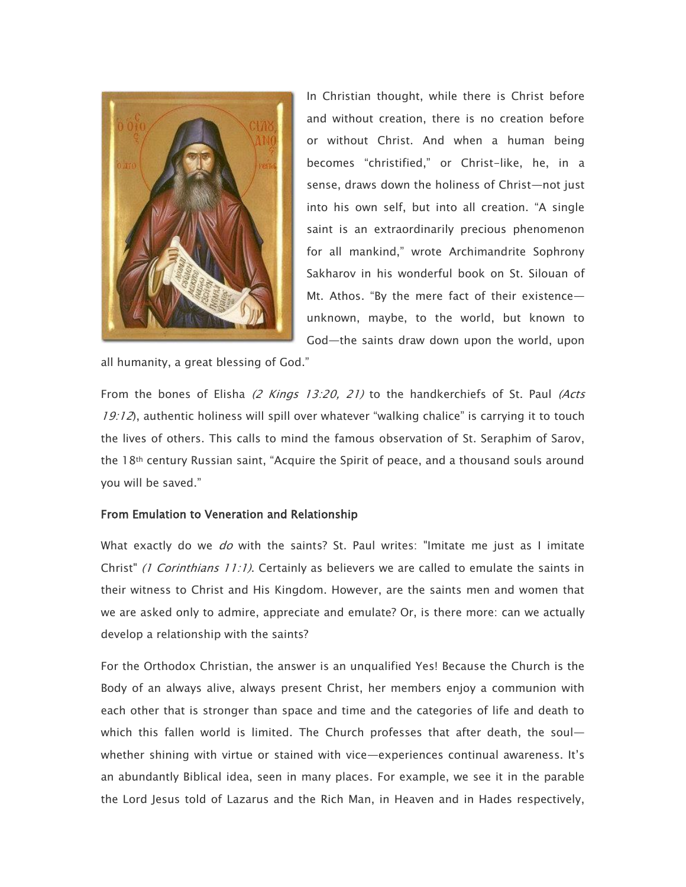

In Christian thought, while there is Christ before and without creation, there is no creation before or without Christ. And when a human being becomes "christified," or Christ-like, he, in a sense, draws down the holiness of Christ—not just into his own self, but into all creation. "A single saint is an extraordinarily precious phenomenon for all mankind," wrote Archimandrite Sophrony Sakharov in his wonderful book on St. Silouan of Mt. Athos. "By the mere fact of their existence unknown, maybe, to the world, but known to God—the saints draw down upon the world, upon

all humanity, a great blessing of God."

From the bones of Elisha (2 Kings 13:20, 21) to the handkerchiefs of St. Paul (Acts 19:12), authentic holiness will spill over whatever "walking chalice" is carrying it to touch the lives of others. This calls to mind the famous observation of St. Seraphim of Sarov, the 18th century Russian saint, "Acquire the Spirit of peace, and a thousand souls around you will be saved."

# From Emulation to Veneration and Relationship

What exactly do we *do* with the saints? St. Paul writes: "Imitate me just as I imitate Christ" *(1 Corinthians 11:1)*. Certainly as believers we are called to emulate the saints in their witness to Christ and His Kingdom. However, are the saints men and women that we are asked only to admire, appreciate and emulate? Or, is there more: can we actually develop a relationship with the saints?

For the Orthodox Christian, the answer is an unqualified Yes! Because the Church is the Body of an always alive, always present Christ, her members enjoy a communion with each other that is stronger than space and time and the categories of life and death to which this fallen world is limited. The Church professes that after death, the soul whether shining with virtue or stained with vice—experiences continual awareness. It's an abundantly Biblical idea, seen in many places. For example, we see it in the parable the Lord Jesus told of Lazarus and the Rich Man, in Heaven and in Hades respectively,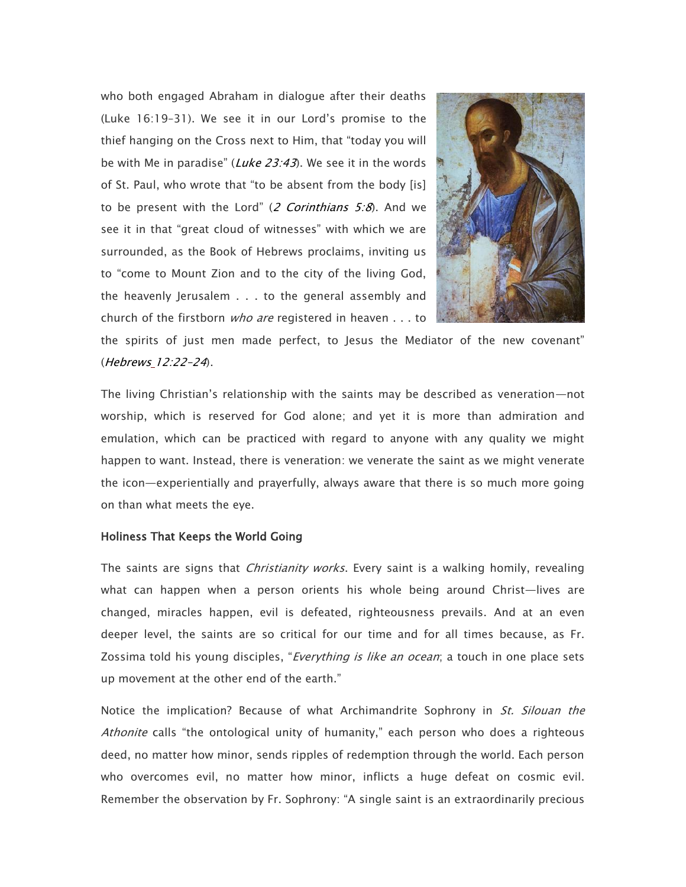who both engaged Abraham in dialogue after their deaths (Luke 16:19–31). We see it in our Lord's promise to the thief hanging on the Cross next to Him, that "today you will be with Me in paradise" (Luke  $23:43$ ). We see it in the words of St. Paul, who wrote that "to be absent from the body [is] to be present with the Lord" (2 Corinthians  $5:8$ ). And we see it in that "great cloud of witnesses" with which we are surrounded, as the Book of Hebrews proclaims, inviting us to "come to Mount Zion and to the city of the living God, the heavenly Jerusalem . . . to the general assembly and church of the firstborn *who are* registered in heaven . . . to



the spirits of just men made perfect, to Jesus the Mediator of the new covenant" (Hebrews 12:22–24).

The living Christian's relationship with the saints may be described as veneration—not worship, which is reserved for God alone; and yet it is more than admiration and emulation, which can be practiced with regard to anyone with any quality we might happen to want. Instead, there is veneration: we venerate the saint as we might venerate the icon—experientially and prayerfully, always aware that there is so much more going on than what meets the eye.

### Holiness That Keeps the World Going

The saints are signs that *Christianity works*. Every saint is a walking homily, revealing what can happen when a person orients his whole being around Christ—lives are changed, miracles happen, evil is defeated, righteousness prevails. And at an even deeper level, the saints are so critical for our time and for all times because, as Fr. Zossima told his young disciples, "*Everything is like an ocean*; a touch in one place sets up movement at the other end of the earth."

Notice the implication? Because of what Archimandrite Sophrony in *St. Silouan the* Athonite calls "the ontological unity of humanity," each person who does a righteous deed, no matter how minor, sends ripples of redemption through the world. Each person who overcomes evil, no matter how minor, inflicts a huge defeat on cosmic evil. Remember the observation by Fr. Sophrony: "A single saint is an extraordinarily precious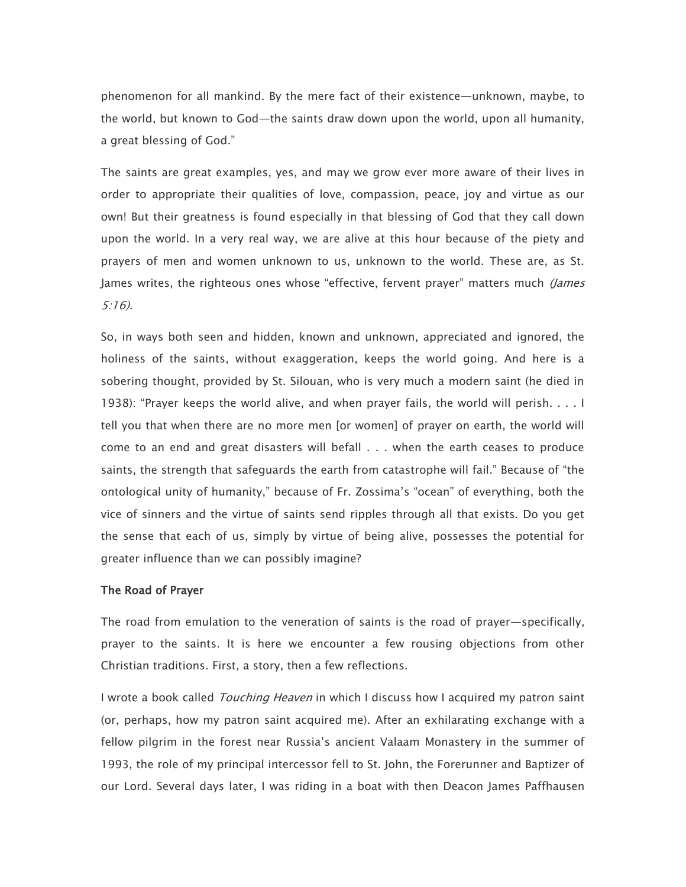phenomenon for all mankind. By the mere fact of their existence—unknown, maybe, to the world, but known to God—the saints draw down upon the world, upon all humanity, a great blessing of God."

The saints are great examples, yes, and may we grow ever more aware of their lives in order to appropriate their qualities of love, compassion, peace, joy and virtue as our own! But their greatness is found especially in that blessing of God that they call down upon the world. In a very real way, we are alive at this hour because of the piety and prayers of men and women unknown to us, unknown to the world. These are, as St. James writes, the righteous ones whose "effective, fervent prayer" matters much *(James* 5:16).

So, in ways both seen and hidden, known and unknown, appreciated and ignored, the holiness of the saints, without exaggeration, keeps the world going. And here is a sobering thought, provided by St. Silouan, who is very much a modern saint (he died in 1938): "Prayer keeps the world alive, and when prayer fails, the world will perish. . . . I tell you that when there are no more men [or women] of prayer on earth, the world will come to an end and great disasters will befall . . . when the earth ceases to produce saints, the strength that safeguards the earth from catastrophe will fail." Because of "the ontological unity of humanity," because of Fr. Zossima's "ocean" of everything, both the vice of sinners and the virtue of saints send ripples through all that exists. Do you get the sense that each of us, simply by virtue of being alive, possesses the potential for greater influence than we can possibly imagine?

### The Road of Prayer

The road from emulation to the veneration of saints is the road of prayer—specifically, prayer to the saints. It is here we encounter a few rousing objections from other Christian traditions. First, a story, then a few reflections.

I wrote a book called *Touching Heaven* in which I discuss how I acquired my patron saint (or, perhaps, how my patron saint acquired me). After an exhilarating exchange with a fellow pilgrim in the forest near Russia's ancient Valaam Monastery in the summer of 1993, the role of my principal intercessor fell to St. John, the Forerunner and Baptizer of our Lord. Several days later, I was riding in a boat with then Deacon James Paffhausen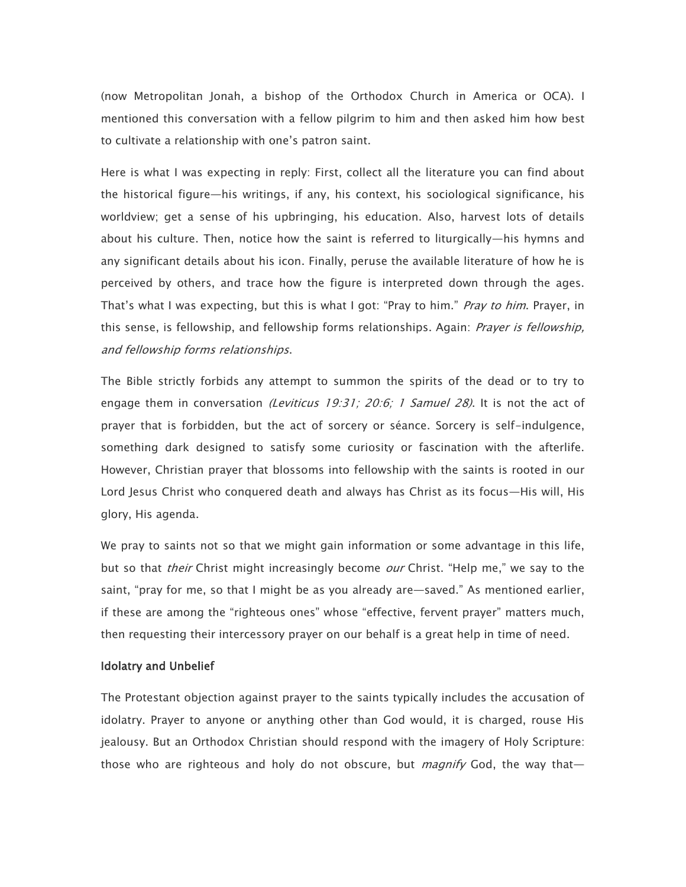(now Metropolitan Jonah, a bishop of the Orthodox Church in America or OCA). I mentioned this conversation with a fellow pilgrim to him and then asked him how best to cultivate a relationship with one's patron saint.

Here is what I was expecting in reply: First, collect all the literature you can find about the historical figure—his writings, if any, his context, his sociological significance, his worldview; get a sense of his upbringing, his education. Also, harvest lots of details about his culture. Then, notice how the saint is referred to liturgically—his hymns and any significant details about his icon. Finally, peruse the available literature of how he is perceived by others, and trace how the figure is interpreted down through the ages. That's what I was expecting, but this is what I got: "Pray to him." Pray to him. Prayer, in this sense, is fellowship, and fellowship forms relationships. Again: Prayer is fellowship, and fellowship forms relationships.

The Bible strictly forbids any attempt to summon the spirits of the dead or to try to engage them in conversation (Leviticus 19:31; 20:6; 1 Samuel 28). It is not the act of prayer that is forbidden, but the act of sorcery or séance. Sorcery is self-indulgence, something dark designed to satisfy some curiosity or fascination with the afterlife. However, Christian prayer that blossoms into fellowship with the saints is rooted in our Lord Jesus Christ who conquered death and always has Christ as its focus—His will, His glory, His agenda.

We pray to saints not so that we might gain information or some advantage in this life, but so that *their* Christ might increasingly become *our* Christ. "Help me," we say to the saint, "pray for me, so that I might be as you already are—saved." As mentioned earlier, if these are among the "righteous ones" whose "effective, fervent prayer" matters much, then requesting their intercessory prayer on our behalf is a great help in time of need.

#### Idolatry and Unbelief

The Protestant objection against prayer to the saints typically includes the accusation of idolatry. Prayer to anyone or anything other than God would, it is charged, rouse His jealousy. But an Orthodox Christian should respond with the imagery of Holy Scripture: those who are righteous and holy do not obscure, but *magnify* God, the way that—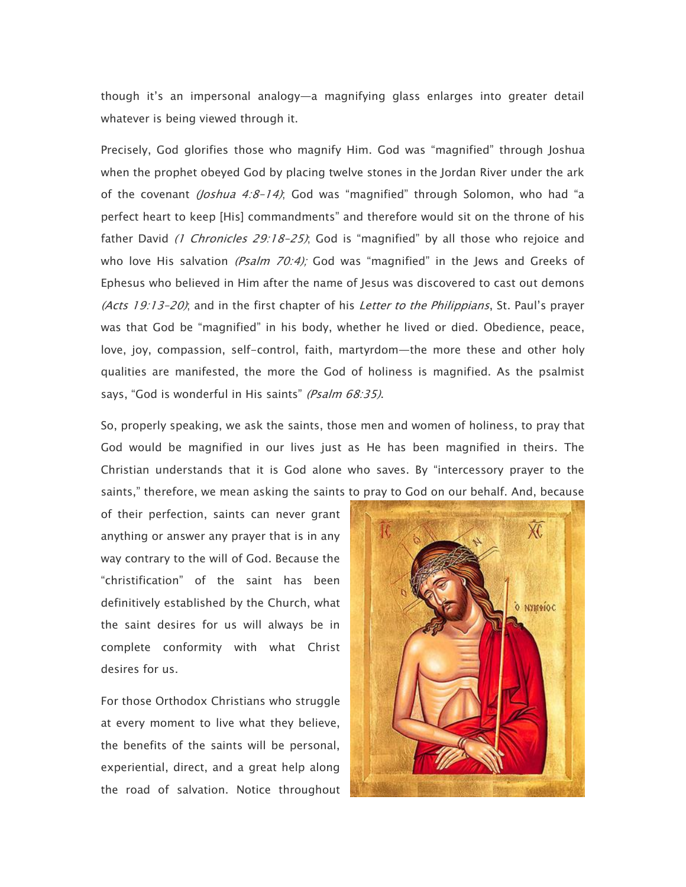though it's an impersonal analogy—a magnifying glass enlarges into greater detail whatever is being viewed through it.

Precisely, God glorifies those who magnify Him. God was "magnified" through Joshua when the prophet obeyed God by placing twelve stones in the Jordan River under the ark of the covenant (Joshua 4:8-14); God was "magnified" through Solomon, who had "a perfect heart to keep [His] commandments" and therefore would sit on the throne of his father David (1 Chronicles 29:18-25); God is "magnified" by all those who rejoice and who love His salvation (Psalm 70:4); God was "magnified" in the Jews and Greeks of Ephesus who believed in Him after the name of Jesus was discovered to cast out demons (Acts 19:13-20); and in the first chapter of his Letter to the Philippians, St. Paul's prayer was that God be "magnified" in his body, whether he lived or died. Obedience, peace, love, joy, compassion, self-control, faith, martyrdom—the more these and other holy qualities are manifested, the more the God of holiness is magnified. As the psalmist says, "God is wonderful in His saints" (Psalm 68:35).

So, properly speaking, we ask the saints, those men and women of holiness, to pray that God would be magnified in our lives just as He has been magnified in theirs. The Christian understands that it is God alone who saves. By "intercessory prayer to the saints," therefore, we mean asking the saints to pray to God on our behalf. And, because

of their perfection, saints can never grant anything or answer any prayer that is in any way contrary to the will of God. Because the "christification" of the saint has been definitively established by the Church, what the saint desires for us will always be in complete conformity with what Christ desires for us.

For those Orthodox Christians who struggle at every moment to live what they believe, the benefits of the saints will be personal, experiential, direct, and a great help along the road of salvation. Notice throughout